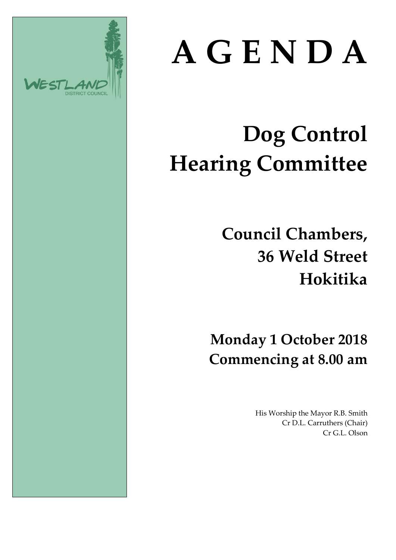

# **A G E N D A**

# **Dog Control Hearing Committee**

**Council Chambers, 36 Weld Street Hokitika**

**Monday 1 October 2018 Commencing at 8.00 am**

> His Worship the Mayor R.B. Smith Cr D.L. Carruthers (Chair) Cr G.L. Olson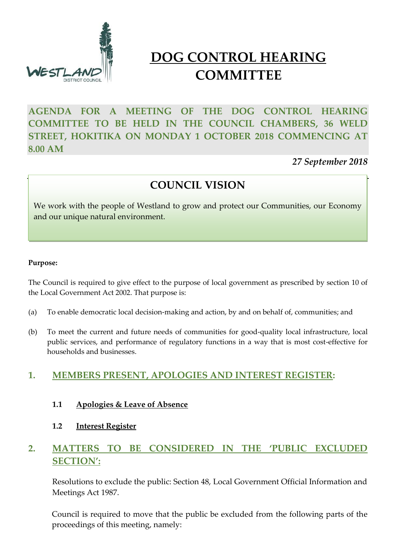

# **DOG CONTROL HEARING COMMITTEE**

# **AGENDA FOR A MEETING OF THE DOG CONTROL HEARING COMMITTEE TO BE HELD IN THE COUNCIL CHAMBERS, 36 WELD STREET, HOKITIKA ON MONDAY 1 OCTOBER 2018 COMMENCING AT 8.00 AM**

*27 September 2018*

# **COUNCIL VISION**

We work with the people of Westland to grow and protect our Communities, our Economy and our unique natural environment.

#### **Purpose:**

The Council is required to give effect to the purpose of local government as prescribed by section 10 of the Local Government Act 2002. That purpose is:

- (a) To enable democratic local decision-making and action, by and on behalf of, communities; and
- (b) To meet the current and future needs of communities for good-quality local infrastructure, local public services, and performance of regulatory functions in a way that is most cost-effective for households and businesses.

### **1. MEMBERS PRESENT, APOLOGIES AND INTEREST REGISTER:**

- **1.1 Apologies & Leave of Absence**
- **1.2 Interest Register**

## **2. MATTERS TO BE CONSIDERED IN THE 'PUBLIC EXCLUDED SECTION':**

Resolutions to exclude the public: Section 48, Local Government Official Information and Meetings Act 1987.

Council is required to move that the public be excluded from the following parts of the proceedings of this meeting, namely: